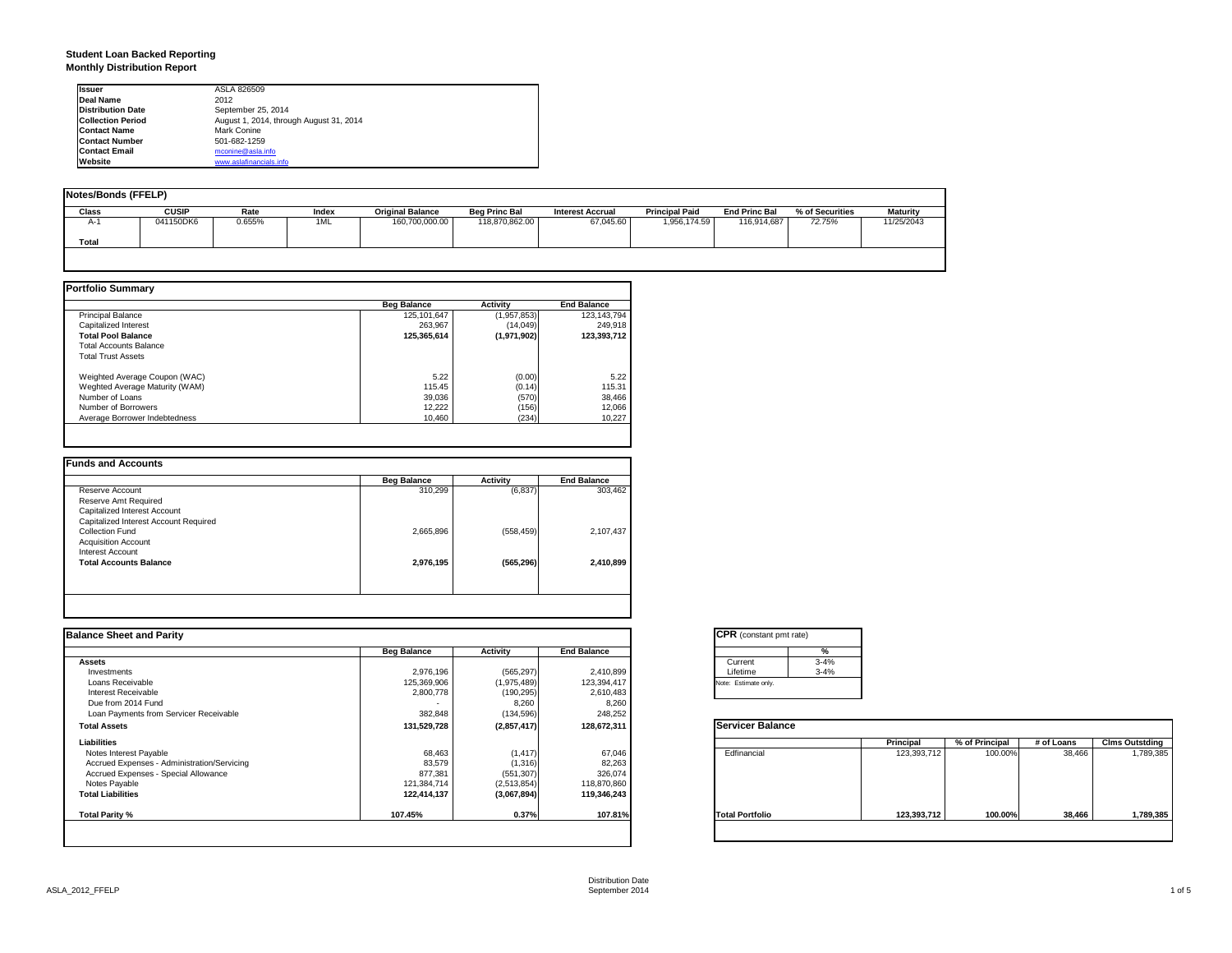## **Student Loan Backed Reporting Monthly Distribution Report**

| <b>Issuer</b>            | ASLA 826509                             |
|--------------------------|-----------------------------------------|
| Deal Name                | 2012                                    |
| <b>Distribution Date</b> | September 25, 2014                      |
| <b>Collection Period</b> | August 1, 2014, through August 31, 2014 |
| <b>Contact Name</b>      | Mark Conine                             |
| <b>Contact Number</b>    | 501-682-1259                            |
| <b>Contact Email</b>     | mconine@asla.info                       |
| Website                  | www.aslafinancials.info                 |

| <b>Notes/Bonds (FFELP)</b> |              |        |       |                         |                      |                         |                       |                      |                 |                 |
|----------------------------|--------------|--------|-------|-------------------------|----------------------|-------------------------|-----------------------|----------------------|-----------------|-----------------|
| <b>Class</b>               | <b>CUSIP</b> | Rate   | Index | <b>Original Balance</b> | <b>Beg Princ Bal</b> | <b>Interest Accrual</b> | <b>Principal Paid</b> | <b>End Princ Bal</b> | % of Securities | <b>Maturity</b> |
| A-1                        | 041150DK6    | 0.655% | 1ML   | 160,700,000.00          | 118,870,862.00       | 67.045.60               | 1,956,174.59          | 116,914,687          | 72.75%          | 11/25/2043      |
| Total                      |              |        |       |                         |                      |                         |                       |                      |                 |                 |
|                            |              |        |       |                         |                      |                         |                       |                      |                 |                 |

|                                | <b>Beg Balance</b> | <b>Activity</b> | <b>End Balance</b> |
|--------------------------------|--------------------|-----------------|--------------------|
| <b>Principal Balance</b>       | 125,101,647        | (1,957,853)     | 123,143,794        |
| Capitalized Interest           | 263.967            | (14,049)        | 249.918            |
| <b>Total Pool Balance</b>      | 125.365.614        | (1,971,902)     | 123.393.712        |
| <b>Total Accounts Balance</b>  |                    |                 |                    |
| <b>Total Trust Assets</b>      |                    |                 |                    |
| Weighted Average Coupon (WAC)  | 5.22               | (0.00)          | 5.22               |
| Weghted Average Maturity (WAM) | 115.45             | (0.14)          | 115.31             |
| Number of Loans                | 39.036             | (570)           | 38,466             |
| Number of Borrowers            | 12.222             | (156)           | 12,066             |
| Average Borrower Indebtedness  | 10.460             | (234)           | 10,227             |

| 303,462   |
|-----------|
|           |
|           |
|           |
|           |
| 2,107,437 |
|           |
|           |
| 2,410,899 |
|           |
|           |

| <b>Balance Sheet and Parity</b>             |                    |             |                    | <b>CPR</b> (constant pmt rate) |               |             |                |            |                       |
|---------------------------------------------|--------------------|-------------|--------------------|--------------------------------|---------------|-------------|----------------|------------|-----------------------|
|                                             | <b>Beg Balance</b> | Activity    | <b>End Balance</b> |                                | $\frac{9}{6}$ |             |                |            |                       |
| <b>Assets</b>                               |                    |             |                    | Current                        | $3 - 4%$      |             |                |            |                       |
| Investments                                 | 2,976,196          | (565, 297)  | 2,410,899          | Lifetime                       | $3 - 4%$      |             |                |            |                       |
| Loans Receivable                            | 125,369,906        | (1,975,489) | 123,394,417        | Note: Estimate only.           |               |             |                |            |                       |
| Interest Receivable                         | 2,800,778          | (190, 295)  | 2,610,483          |                                |               |             |                |            |                       |
| Due from 2014 Fund                          |                    | 8,260       | 8,260              |                                |               |             |                |            |                       |
| Loan Payments from Servicer Receivable      | 382,848            | (134, 596)  | 248,252            |                                |               |             |                |            |                       |
| <b>Total Assets</b>                         | 131,529,728        | (2,857,417) | 128,672,311        | <b>Servicer Balance</b>        |               |             |                |            |                       |
| Liabilities                                 |                    |             |                    |                                |               | Principal   | % of Principal | # of Loans | <b>Clms Outstding</b> |
| Notes Interest Payable                      | 68,463             | (1, 417)    | 67,046             | Edfinancial                    |               | 123,393,712 | 100.00%        | 38,466     | 1,789,385             |
| Accrued Expenses - Administration/Servicing | 83,579             | (1, 316)    | 82,263             |                                |               |             |                |            |                       |
| Accrued Expenses - Special Allowance        | 877,381            | (551, 307)  | 326,074            |                                |               |             |                |            |                       |
| Notes Payable                               | 121,384,714        | (2,513,854) | 118,870,860        |                                |               |             |                |            |                       |
| <b>Total Liabilities</b>                    | 122,414,137        | (3,067,894) | 119,346,243        |                                |               |             |                |            |                       |
| Total Parity %                              | 107.45%            | 0.37%       | 107.81%            | <b>Total Portfolio</b>         |               | 123,393,712 | 100.00%        | 38,466     | 1,789,385             |
|                                             |                    |             |                    |                                |               |             |                |            |                       |

|          | ℀        |
|----------|----------|
| Current  | $3 - 4%$ |
| Lifetime | $3 - 4%$ |

|                        | <b>Principal</b> | % of Principal | # of Loans | <b>Clms Outstding</b> |
|------------------------|------------------|----------------|------------|-----------------------|
| Edfinancial            | 123,393,712      | 100.00%        | 38,466     | 1,789,385             |
| <b>Total Portfolio</b> | 123,393,712      | 100.00%        | 38,466     | 1,789,385             |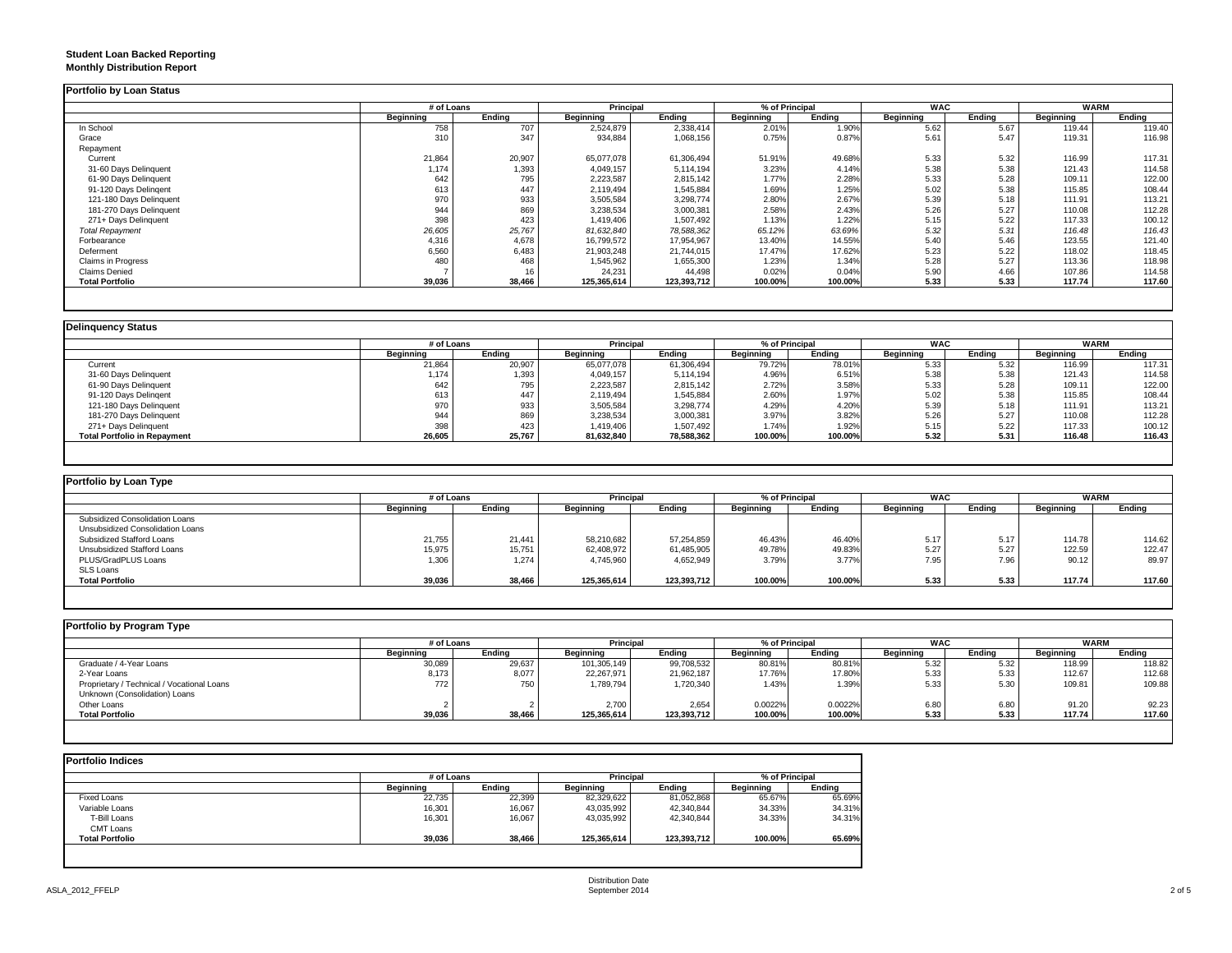## **Student Loan Backed Reporting Monthly Distribution Report**

|                         | # of Loans |        | Principal   |             | % of Principal |         | <b>WAC</b> |        | <b>WARM</b> |        |
|-------------------------|------------|--------|-------------|-------------|----------------|---------|------------|--------|-------------|--------|
|                         | Beginning  | Ending | Beginning   | Ending      | Beginning      | Ending  | Beginning  | Ending | Beginning   | Ending |
| In School               | 758        | 707    | 2,524,879   | 2,338,414   | 2.01%          | 1.90%   | 5.62       | 5.67   | 119.44      | 119.40 |
| Grace                   | 310        | 347    | 934,884     | 1,068,156   | 0.75%          | 0.87%   | 5.61       | 5.47   | 119.31      | 116.98 |
| Repayment               |            |        |             |             |                |         |            |        |             |        |
| Current                 | 21,864     | 20,907 | 65,077,078  | 61,306,494  | 51.91%         | 49.68%  | 5.33       | 5.32   | 116.99      | 117.31 |
| 31-60 Days Delinquent   | 1,174      | 1,393  | 4,049,157   | 5,114,194   | 3.23%          | 4.14%   | 5.38       | 5.38   | 121.43      | 114.58 |
| 61-90 Days Delinquent   | 642        | 795    | 2,223,587   | 2,815,142   | 1.77%          | 2.28%   | 5.33       | 5.28   | 109.11      | 122.00 |
| 91-120 Days Delingent   | 613        | 447    | 2,119,494   | 1,545,884   | 1.69%          | 1.25%   | 5.02       | 5.38   | 115.85      | 108.44 |
| 121-180 Days Delinquent | 970        | 933    | 3,505,584   | 3,298,774   | 2.80%          | 2.67%   | 5.39       | 5.18   | 111.91      | 113.21 |
| 181-270 Days Delinquent | 944        | 869    | 3,238,534   | 3,000,381   | 2.58%          | 2.43%   | 5.26       | 5.27   | 110.08      | 112.28 |
| 271+ Days Delinquent    | 398        | 423    | 1,419,406   | 1,507,492   | 1.13%          | 1.22%   | 5.15       | 5.22   | 117.33      | 100.12 |
| <b>Total Repayment</b>  | 26,605     | 25,767 | 81,632,840  | 78,588,362  | 65.12%         | 63.69%  | 5.32       | 5.31   | 116.48      | 116.43 |
| Forbearance             | 4,316      | 4,678  | 16,799,572  | 17,954,967  | 13.40%         | 14.55%  | 5.40       | 5.46   | 123.55      | 121.40 |
| Deferment               | 6,560      | 6,483  | 21,903,248  | 21,744,015  | 17.47%         | 17.62%  | 5.23       | 5.22   | 118.02      | 118.45 |
| Claims in Progress      | 480        | 468    | 1,545,962   | 1,655,300   | 1.23%          | 1.34%   | 5.28       | 5.27   | 113.36      | 118.98 |
| <b>Claims Denied</b>    |            |        | 24,231      | 44,498      | 0.02%          | 0.04%   | 5.90       | 4.66   | 107.86      | 114.58 |
| <b>Total Portfolio</b>  | 39,036     | 38,466 | 125,365,614 | 123,393,712 | 100.00%        | 100.00% | 5.33       | 5.33   | 117.74      | 117.60 |

|                                     |                  | # of Loans |            | <b>Principal</b> | % of Principal |         | <b>WAC</b> |        | <b>WARM</b> |        |
|-------------------------------------|------------------|------------|------------|------------------|----------------|---------|------------|--------|-------------|--------|
|                                     | <b>Beainning</b> | Endina     | Beainnina  | Ending           | Beginning      | Endina  | Beginning  | Endina | Beginning   | Endina |
| Current                             | 21,864           | 20,907     | 65,077,078 | 61,306,494       | 79.72%         | 78.01%  | 5.33       | 5.32   | 116.99      | 117.31 |
| 31-60 Days Delinquent               | 1,174            | 1,393      | 4,049,157  | 5,114,194        | 4.96%          | 6.51%   | 5.38       | 5.38   | 121.43      | 114.58 |
| 61-90 Days Delinquent               | 642              | 795        | 2,223,587  | 2,815,142        | 2.72%          | 3.58%   | 5.33       | 5.28   | 109.11      | 122.00 |
| 91-120 Days Delingent               | 613              | 447        | 2,119,494  | 1,545,884        | 2.60%          | 1.97%   | 5.02       | 5.38   | 115.85      | 108.44 |
| 121-180 Days Delinquent             | 970              | 933        | 3,505,584  | 3,298,774        | 4.29%          | 4.20%   | 5.39       | 5.18   | 111.91      | 113.21 |
| 181-270 Days Delinquent             | 944              | 869        | 3,238,534  | 3,000,381        | 3.97%          | 3.82%   | 5.26       | 5.27   | 110.08      | 112.28 |
| 271+ Days Delinquent                | 398              | 423        | 1,419,406  | 1,507,492        | 1.74%          | 1.92%   | 5.15       | 5.22   | 117.33      | 100.12 |
| <b>Total Portfolio in Repayment</b> | 26,605           | 25,767     | 81,632,840 | 78,588,362       | 100.00%        | 100.00% | 5.32       | 5.31   | 116.48      | 116.43 |

| Portfolio by Loan Type           |            |        |             |             |           |                |            |        |                  |             |
|----------------------------------|------------|--------|-------------|-------------|-----------|----------------|------------|--------|------------------|-------------|
|                                  | # of Loans |        | Principal   |             |           | % of Principal | <b>WAC</b> |        |                  | <b>WARM</b> |
|                                  | Beainnina  | Ending | Beainnina   | Endina      | Beginning | Endina         | Beainnina  | Endina | <b>Beginning</b> | Ending      |
| Subsidized Consolidation Loans   |            |        |             |             |           |                |            |        |                  |             |
| Unsubsidized Consolidation Loans |            |        |             |             |           |                |            |        |                  |             |
| Subsidized Stafford Loans        | 21,755     | 21,441 | 58,210,682  | 57,254,859  | 46.43%    | 46.40%         | 5.17       | 5.17   | 114.78           | 114.62      |
| Unsubsidized Stafford Loans      | 15,975     | 15,751 | 62,408,972  | 61,485,905  | 49.78%    | 49.83%         | 5.27       | 5.27   | 122.59           | 122.47      |
| PLUS/GradPLUS Loans              | 1,306      | 1.274  | 4,745,960   | 4,652,949   | 3.79%     | 3.77%          | 7.95       | 7.96   | 90.12            | 89.97       |
| SLS Loans                        |            |        |             |             |           |                |            |        |                  |             |
| <b>Total Portfolio</b>           | 39,036     | 38,466 | 125.365.614 | 123,393,712 | 100.00%   | 100.00%        | 5.33       | 5.33   | 117.74           | 117.60      |

| Portfolio by Program Type                  |            |        |                  |             |                  |         |                  |        |             |        |
|--------------------------------------------|------------|--------|------------------|-------------|------------------|---------|------------------|--------|-------------|--------|
|                                            | # of Loans |        | <b>Principal</b> |             | % of Principal   |         | <b>WAC</b>       |        | <b>WARM</b> |        |
|                                            | Beginning  | Endina | <b>Beginning</b> | Endina      | <b>Beginning</b> | Endina  | <b>Beginning</b> | Ending | Beginning   | Ending |
| Graduate / 4-Year Loans                    | 30,089     | 29,637 | 101,305,149      | 99,708,532  | 80.81%           | 80.81%  | 5.32             | 5.32   | 118.99      | 118.82 |
| 2-Year Loans                               | 8,173      | 8,077  | 22,267,971       | 21,962,187  | 17.76%           | 17.80%  | 5.33             | 5.33   | 112.67      | 112.68 |
| Proprietary / Technical / Vocational Loans | 772        | 750    | 1,789,794        | 1,720,340   | 1.43%            | 1.39%   | 5.33             | 5.30   | 109.81      | 109.88 |
| Unknown (Consolidation) Loans              |            |        |                  |             |                  |         |                  |        |             |        |
| Other Loans                                |            |        | 2.700            | 2.654       | 0.0022%          | 0.0022% | 6.80             | 6.80   | 91.20       | 92.23  |
| <b>Total Portfolio</b>                     | 39,036     | 38,466 | 125,365,614      | 123,393,712 | 100.00%          | 100.00% | 5.33             | 5.33   | 117.74      | 117.60 |
|                                            |            |        |                  |             |                  |         |                  |        |             |        |

| <b>Portfolio Indices</b> |            |        |                  |             |                |        |
|--------------------------|------------|--------|------------------|-------------|----------------|--------|
|                          | # of Loans |        | Principal        |             | % of Principal |        |
|                          | Beginning  | Endina | <b>Beginning</b> | Endina      | Beginning      | Endina |
| <b>Fixed Loans</b>       | 22.735     | 22,399 | 82.329.622       | 81,052,868  | 65.67%         | 65.69% |
| Variable Loans           | 16,301     | 16,067 | 43,035,992       | 42,340,844  | 34.33%         | 34.31% |
| T-Bill Loans             | 16,301     | 16,067 | 43,035,992       | 42,340,844  | 34.33%         | 34.31% |
| <b>CMT Loans</b>         |            |        |                  |             |                |        |
| <b>Total Portfolio</b>   | 39,036     | 38,466 | 125,365,614      | 123,393,712 | 100.00%        | 65.69% |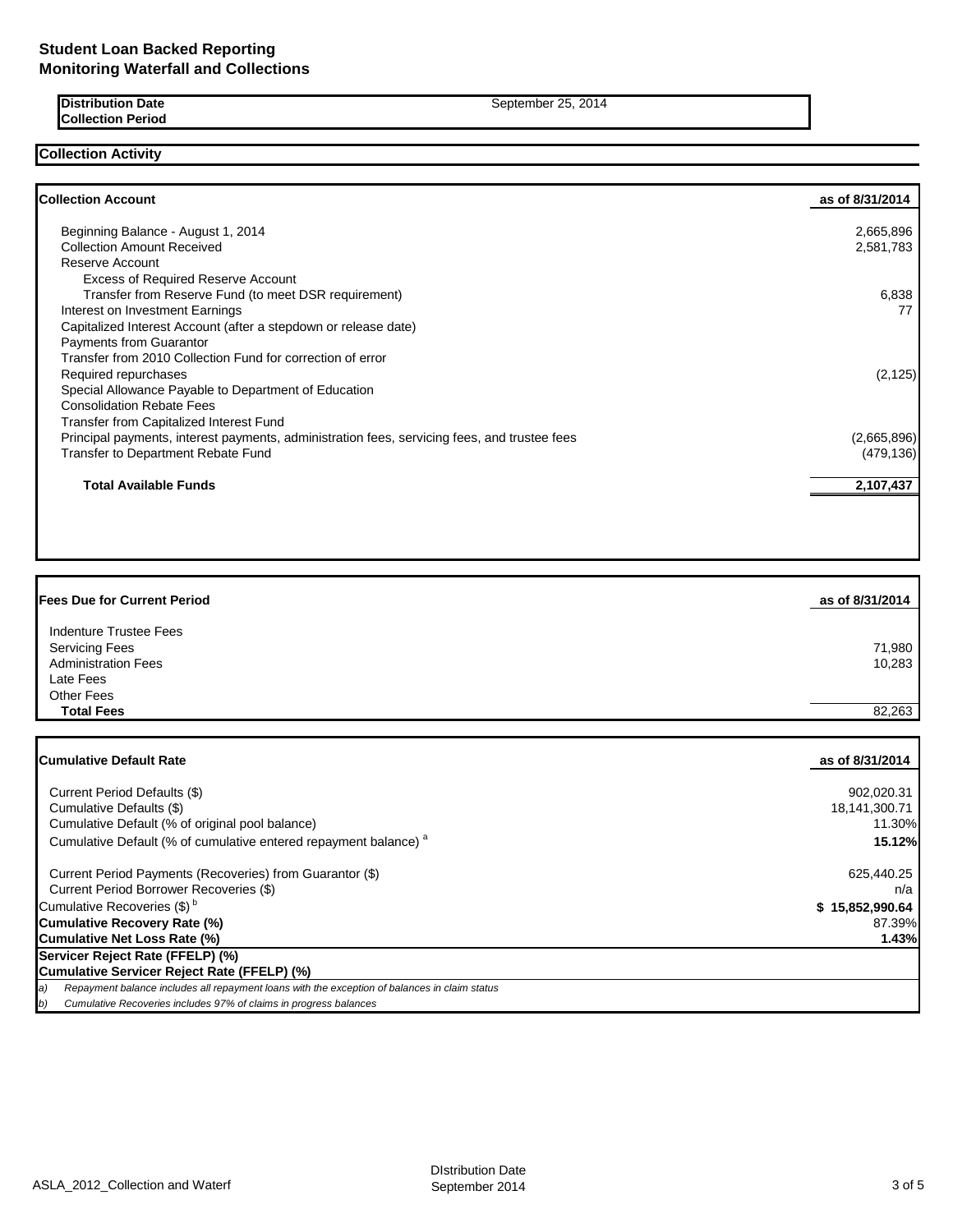**Distribution Date** September 25, 2014 **Collection Period**

**Collection Activity**

| <b>Collection Account</b>                                                                    | as of 8/31/2014 |
|----------------------------------------------------------------------------------------------|-----------------|
| Beginning Balance - August 1, 2014                                                           | 2,665,896       |
| <b>Collection Amount Received</b>                                                            | 2,581,783       |
| Reserve Account                                                                              |                 |
| <b>Excess of Required Reserve Account</b>                                                    |                 |
| Transfer from Reserve Fund (to meet DSR requirement)                                         | 6,838           |
| Interest on Investment Earnings                                                              | 77              |
| Capitalized Interest Account (after a stepdown or release date)                              |                 |
| <b>Payments from Guarantor</b>                                                               |                 |
| Transfer from 2010 Collection Fund for correction of error                                   |                 |
| Required repurchases                                                                         | (2, 125)        |
| Special Allowance Payable to Department of Education                                         |                 |
| <b>Consolidation Rebate Fees</b>                                                             |                 |
| Transfer from Capitalized Interest Fund                                                      |                 |
| Principal payments, interest payments, administration fees, servicing fees, and trustee fees | (2,665,896)     |
| Transfer to Department Rebate Fund                                                           | (479, 136)      |
| <b>Total Available Funds</b>                                                                 | 2,107,437       |
|                                                                                              |                 |

| <b>Fees Due for Current Period</b> | as of 8/31/2014 |
|------------------------------------|-----------------|
| Indenture Trustee Fees             |                 |
| <b>Servicing Fees</b>              | 71,980          |
| <b>Administration Fees</b>         | 10,283          |
| Late Fees                          |                 |
| <b>Other Fees</b>                  |                 |
| <b>Total Fees</b>                  | 82,263          |

| <b>ICumulative Default Rate</b>                                                                     | as of 8/31/2014 |
|-----------------------------------------------------------------------------------------------------|-----------------|
| Current Period Defaults (\$)                                                                        | 902.020.31      |
| Cumulative Defaults (\$)                                                                            | 18,141,300.71   |
| Cumulative Default (% of original pool balance)                                                     | 11.30%          |
| Cumulative Default (% of cumulative entered repayment balance) <sup>a</sup>                         | <b>15.12%</b>   |
| Current Period Payments (Recoveries) from Guarantor (\$)                                            | 625,440.25      |
| Current Period Borrower Recoveries (\$)                                                             | n/a             |
| Cumulative Recoveries (\$) <sup>b</sup>                                                             | \$15,852,990.64 |
| Cumulative Recovery Rate (%)                                                                        | 87.39%          |
| Cumulative Net Loss Rate (%)                                                                        | 1.43%           |
| Servicer Reject Rate (FFELP) (%)                                                                    |                 |
| Cumulative Servicer Reject Rate (FFELP) (%)                                                         |                 |
| Repayment balance includes all repayment loans with the exception of balances in claim status<br>a) |                 |
| Cumulative Recoveries includes 97% of claims in progress balances<br>$\left( b\right)$              |                 |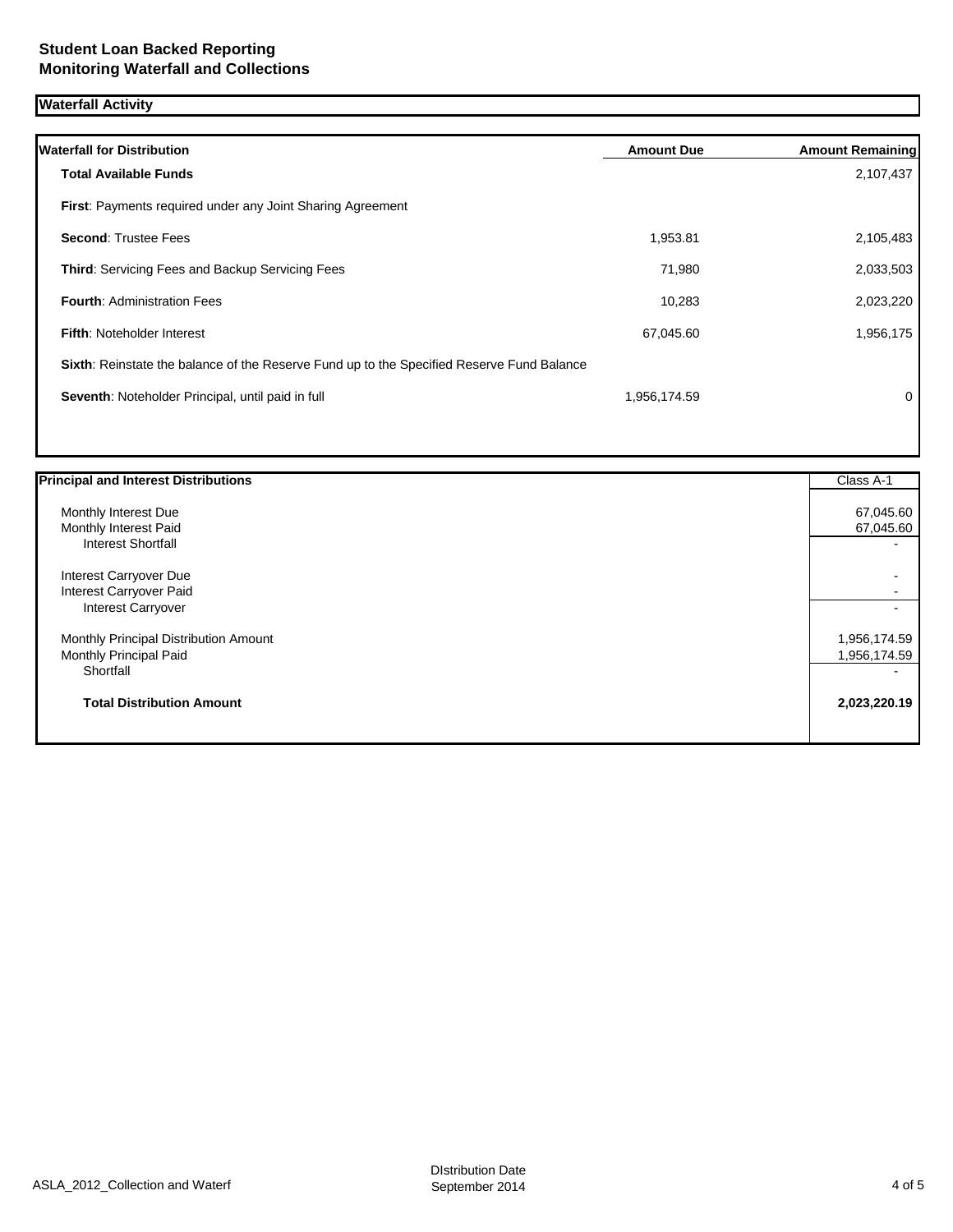# **Waterfall Activity**

| <b>Waterfall for Distribution</b>                                                         | <b>Amount Due</b> | <b>Amount Remaining</b> |
|-------------------------------------------------------------------------------------------|-------------------|-------------------------|
| <b>Total Available Funds</b>                                                              |                   | 2,107,437               |
| First: Payments required under any Joint Sharing Agreement                                |                   |                         |
| <b>Second: Trustee Fees</b>                                                               | 1,953.81          | 2,105,483               |
| <b>Third:</b> Servicing Fees and Backup Servicing Fees                                    | 71,980            | 2,033,503               |
| <b>Fourth: Administration Fees</b>                                                        | 10,283            | 2,023,220               |
| <b>Fifth: Noteholder Interest</b>                                                         | 67,045.60         | 1,956,175               |
| Sixth: Reinstate the balance of the Reserve Fund up to the Specified Reserve Fund Balance |                   |                         |
| Seventh: Noteholder Principal, until paid in full                                         | 1,956,174.59      | 0                       |
|                                                                                           |                   |                         |

| <b>Principal and Interest Distributions</b> | Class A-1    |
|---------------------------------------------|--------------|
| Monthly Interest Due                        | 67,045.60    |
| Monthly Interest Paid                       | 67,045.60    |
| <b>Interest Shortfall</b>                   |              |
| Interest Carryover Due                      |              |
| Interest Carryover Paid                     |              |
| Interest Carryover                          |              |
| Monthly Principal Distribution Amount       | 1,956,174.59 |
| Monthly Principal Paid                      | 1,956,174.59 |
| Shortfall                                   |              |
| <b>Total Distribution Amount</b>            | 2,023,220.19 |
|                                             |              |
|                                             |              |